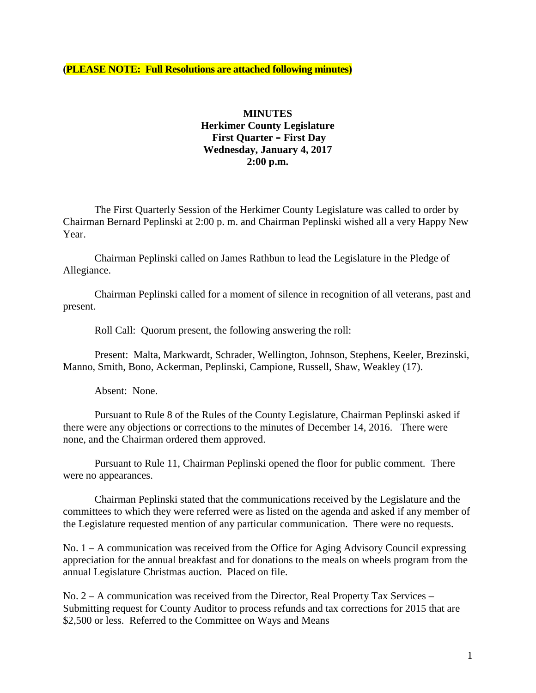**(PLEASE NOTE: Full Resolutions are attached following minutes)**

## **MINUTES Herkimer County Legislature First Quarter – First Day Wednesday, January 4, 2017 2:00 p.m.**

The First Quarterly Session of the Herkimer County Legislature was called to order by Chairman Bernard Peplinski at 2:00 p. m. and Chairman Peplinski wished all a very Happy New Year.

Chairman Peplinski called on James Rathbun to lead the Legislature in the Pledge of Allegiance.

Chairman Peplinski called for a moment of silence in recognition of all veterans, past and present.

Roll Call: Quorum present, the following answering the roll:

Present: Malta, Markwardt, Schrader, Wellington, Johnson, Stephens, Keeler, Brezinski, Manno, Smith, Bono, Ackerman, Peplinski, Campione, Russell, Shaw, Weakley (17).

Absent: None.

Pursuant to Rule 8 of the Rules of the County Legislature, Chairman Peplinski asked if there were any objections or corrections to the minutes of December 14, 2016. There were none, and the Chairman ordered them approved.

Pursuant to Rule 11, Chairman Peplinski opened the floor for public comment. There were no appearances.

Chairman Peplinski stated that the communications received by the Legislature and the committees to which they were referred were as listed on the agenda and asked if any member of the Legislature requested mention of any particular communication. There were no requests.

No. 1 – A communication was received from the Office for Aging Advisory Council expressing appreciation for the annual breakfast and for donations to the meals on wheels program from the annual Legislature Christmas auction. Placed on file.

No. 2 – A communication was received from the Director, Real Property Tax Services – Submitting request for County Auditor to process refunds and tax corrections for 2015 that are \$2,500 or less. Referred to the Committee on Ways and Means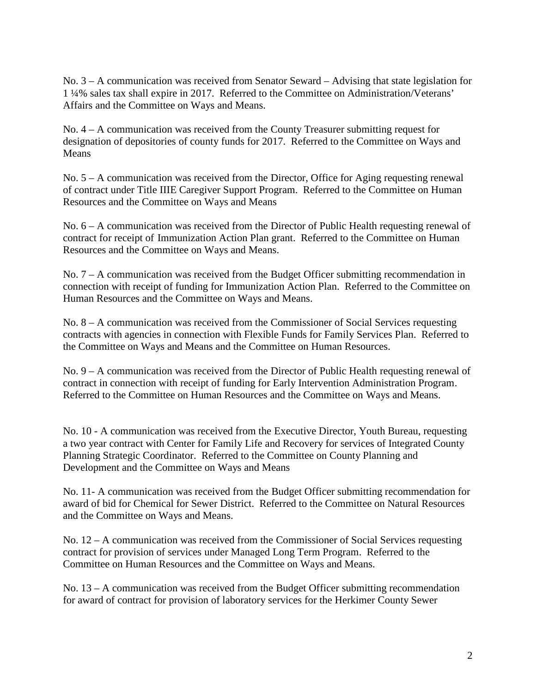No. 3 – A communication was received from Senator Seward – Advising that state legislation for 1 ¼% sales tax shall expire in 2017. Referred to the Committee on Administration/Veterans' Affairs and the Committee on Ways and Means.

No. 4 – A communication was received from the County Treasurer submitting request for designation of depositories of county funds for 2017. Referred to the Committee on Ways and **Means** 

No. 5 – A communication was received from the Director, Office for Aging requesting renewal of contract under Title IIIE Caregiver Support Program. Referred to the Committee on Human Resources and the Committee on Ways and Means

No.  $6 - A$  communication was received from the Director of Public Health requesting renewal of contract for receipt of Immunization Action Plan grant. Referred to the Committee on Human Resources and the Committee on Ways and Means.

No. 7 – A communication was received from the Budget Officer submitting recommendation in connection with receipt of funding for Immunization Action Plan. Referred to the Committee on Human Resources and the Committee on Ways and Means.

No. 8 – A communication was received from the Commissioner of Social Services requesting contracts with agencies in connection with Flexible Funds for Family Services Plan. Referred to the Committee on Ways and Means and the Committee on Human Resources.

No. 9 – A communication was received from the Director of Public Health requesting renewal of contract in connection with receipt of funding for Early Intervention Administration Program. Referred to the Committee on Human Resources and the Committee on Ways and Means.

No. 10 - A communication was received from the Executive Director, Youth Bureau, requesting a two year contract with Center for Family Life and Recovery for services of Integrated County Planning Strategic Coordinator. Referred to the Committee on County Planning and Development and the Committee on Ways and Means

No. 11- A communication was received from the Budget Officer submitting recommendation for award of bid for Chemical for Sewer District. Referred to the Committee on Natural Resources and the Committee on Ways and Means.

No. 12 – A communication was received from the Commissioner of Social Services requesting contract for provision of services under Managed Long Term Program. Referred to the Committee on Human Resources and the Committee on Ways and Means.

No. 13 – A communication was received from the Budget Officer submitting recommendation for award of contract for provision of laboratory services for the Herkimer County Sewer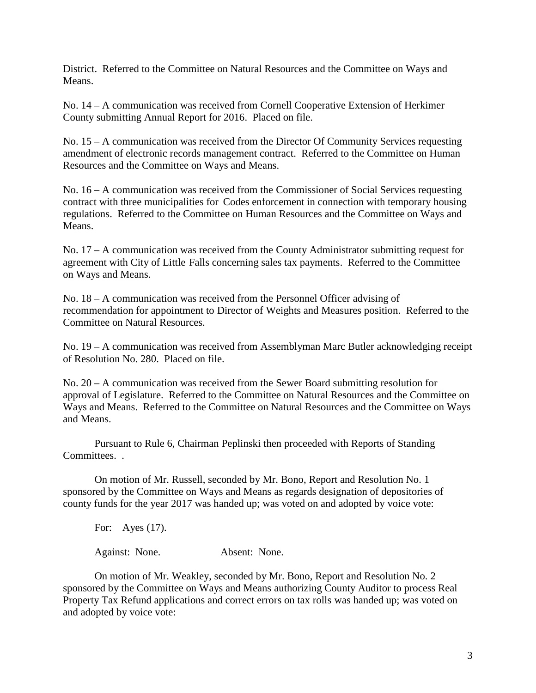District. Referred to the Committee on Natural Resources and the Committee on Ways and Means.

No. 14 – A communication was received from Cornell Cooperative Extension of Herkimer County submitting Annual Report for 2016. Placed on file.

No. 15 – A communication was received from the Director Of Community Services requesting amendment of electronic records management contract. Referred to the Committee on Human Resources and the Committee on Ways and Means.

No. 16 – A communication was received from the Commissioner of Social Services requesting contract with three municipalities for Codes enforcement in connection with temporary housing regulations. Referred to the Committee on Human Resources and the Committee on Ways and Means.

No. 17 – A communication was received from the County Administrator submitting request for agreement with City of Little Falls concerning sales tax payments. Referred to the Committee on Ways and Means.

No. 18 – A communication was received from the Personnel Officer advising of recommendation for appointment to Director of Weights and Measures position. Referred to the Committee on Natural Resources.

No. 19 – A communication was received from Assemblyman Marc Butler acknowledging receipt of Resolution No. 280. Placed on file.

No. 20 – A communication was received from the Sewer Board submitting resolution for approval of Legislature. Referred to the Committee on Natural Resources and the Committee on Ways and Means. Referred to the Committee on Natural Resources and the Committee on Ways and Means.

Pursuant to Rule 6, Chairman Peplinski then proceeded with Reports of Standing Committees. .

On motion of Mr. Russell, seconded by Mr. Bono, Report and Resolution No. 1 sponsored by the Committee on Ways and Means as regards designation of depositories of county funds for the year 2017 was handed up; was voted on and adopted by voice vote:

For: Ayes (17). Against: None. Absent: None.

On motion of Mr. Weakley, seconded by Mr. Bono, Report and Resolution No. 2 sponsored by the Committee on Ways and Means authorizing County Auditor to process Real Property Tax Refund applications and correct errors on tax rolls was handed up; was voted on and adopted by voice vote: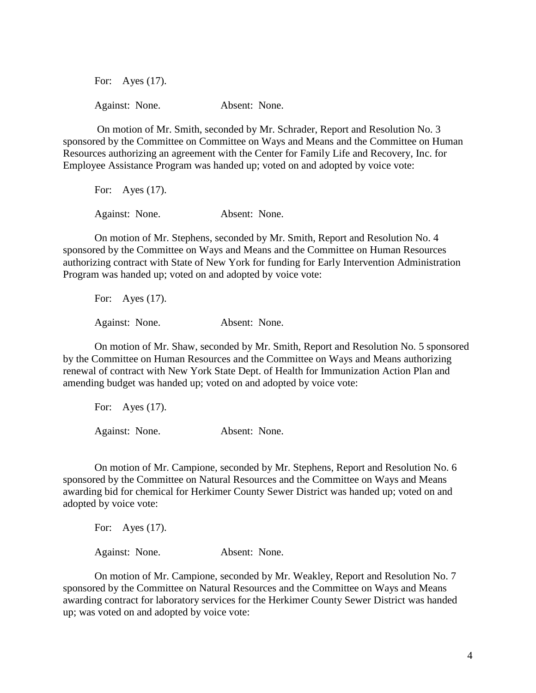For: Ayes (17). Against: None. Absent: None.

On motion of Mr. Smith, seconded by Mr. Schrader, Report and Resolution No. 3 sponsored by the Committee on Committee on Ways and Means and the Committee on Human Resources authorizing an agreement with the Center for Family Life and Recovery, Inc. for Employee Assistance Program was handed up; voted on and adopted by voice vote:

For: Ayes (17). Against: None. Absent: None.

On motion of Mr. Stephens, seconded by Mr. Smith, Report and Resolution No. 4 sponsored by the Committee on Ways and Means and the Committee on Human Resources authorizing contract with State of New York for funding for Early Intervention Administration Program was handed up; voted on and adopted by voice vote:

For: Ayes (17). Against: None. Absent: None.

On motion of Mr. Shaw, seconded by Mr. Smith, Report and Resolution No. 5 sponsored by the Committee on Human Resources and the Committee on Ways and Means authorizing renewal of contract with New York State Dept. of Health for Immunization Action Plan and amending budget was handed up; voted on and adopted by voice vote:

For: Ayes (17). Against: None. Absent: None.

On motion of Mr. Campione, seconded by Mr. Stephens, Report and Resolution No. 6 sponsored by the Committee on Natural Resources and the Committee on Ways and Means awarding bid for chemical for Herkimer County Sewer District was handed up; voted on and adopted by voice vote:

For: Ayes (17). Against: None. Absent: None.

On motion of Mr. Campione, seconded by Mr. Weakley, Report and Resolution No. 7 sponsored by the Committee on Natural Resources and the Committee on Ways and Means awarding contract for laboratory services for the Herkimer County Sewer District was handed up; was voted on and adopted by voice vote: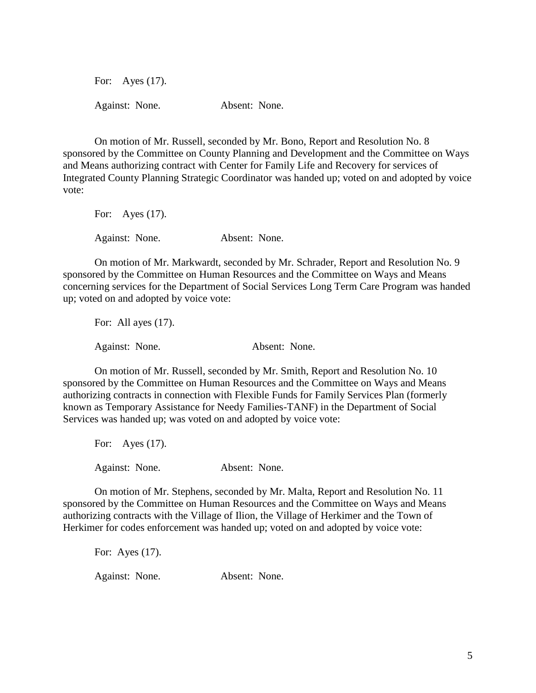For: Ayes (17). Against: None. Absent: None.

On motion of Mr. Russell, seconded by Mr. Bono, Report and Resolution No. 8 sponsored by the Committee on County Planning and Development and the Committee on Ways and Means authorizing contract with Center for Family Life and Recovery for services of Integrated County Planning Strategic Coordinator was handed up; voted on and adopted by voice vote:

For: Ayes (17). Against: None. Absent: None.

On motion of Mr. Markwardt, seconded by Mr. Schrader, Report and Resolution No. 9 sponsored by the Committee on Human Resources and the Committee on Ways and Means concerning services for the Department of Social Services Long Term Care Program was handed up; voted on and adopted by voice vote:

For: All ayes  $(17)$ . Against: None. Absent: None.

On motion of Mr. Russell, seconded by Mr. Smith, Report and Resolution No. 10 sponsored by the Committee on Human Resources and the Committee on Ways and Means authorizing contracts in connection with Flexible Funds for Family Services Plan (formerly known as Temporary Assistance for Needy Families-TANF) in the Department of Social Services was handed up; was voted on and adopted by voice vote:

For: Ayes (17). Against: None. Absent: None.

On motion of Mr. Stephens, seconded by Mr. Malta, Report and Resolution No. 11 sponsored by the Committee on Human Resources and the Committee on Ways and Means authorizing contracts with the Village of Ilion, the Village of Herkimer and the Town of Herkimer for codes enforcement was handed up; voted on and adopted by voice vote:

For: Ayes (17). Against: None. Absent: None.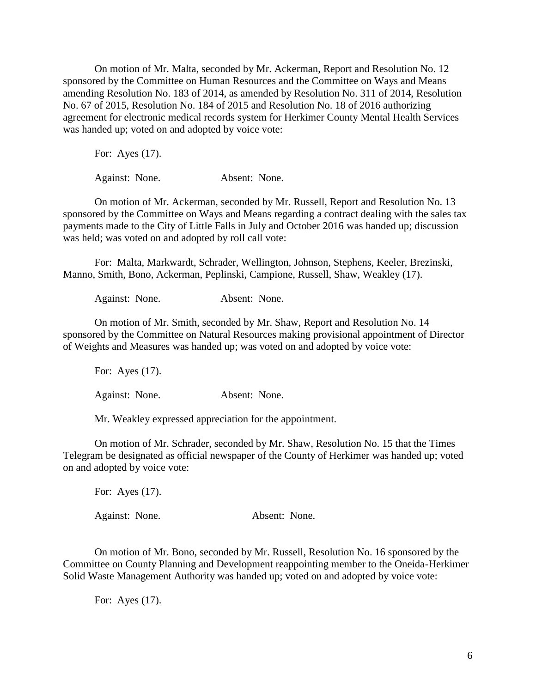On motion of Mr. Malta, seconded by Mr. Ackerman, Report and Resolution No. 12 sponsored by the Committee on Human Resources and the Committee on Ways and Means amending Resolution No. 183 of 2014, as amended by Resolution No. 311 of 2014, Resolution No. 67 of 2015, Resolution No. 184 of 2015 and Resolution No. 18 of 2016 authorizing agreement for electronic medical records system for Herkimer County Mental Health Services was handed up; voted on and adopted by voice vote:

For: Ayes (17).

Against: None. Absent: None.

On motion of Mr. Ackerman, seconded by Mr. Russell, Report and Resolution No. 13 sponsored by the Committee on Ways and Means regarding a contract dealing with the sales tax payments made to the City of Little Falls in July and October 2016 was handed up; discussion was held; was voted on and adopted by roll call vote:

For: Malta, Markwardt, Schrader, Wellington, Johnson, Stephens, Keeler, Brezinski, Manno, Smith, Bono, Ackerman, Peplinski, Campione, Russell, Shaw, Weakley (17).

Against: None. Absent: None.

On motion of Mr. Smith, seconded by Mr. Shaw, Report and Resolution No. 14 sponsored by the Committee on Natural Resources making provisional appointment of Director of Weights and Measures was handed up; was voted on and adopted by voice vote:

For: Ayes (17). Against: None. Absent: None.

Mr. Weakley expressed appreciation for the appointment.

On motion of Mr. Schrader, seconded by Mr. Shaw, Resolution No. 15 that the Times Telegram be designated as official newspaper of the County of Herkimer was handed up; voted on and adopted by voice vote:

| For: Ayes $(17)$ . |               |
|--------------------|---------------|
| Against: None.     | Absent: None. |

On motion of Mr. Bono, seconded by Mr. Russell, Resolution No. 16 sponsored by the Committee on County Planning and Development reappointing member to the Oneida-Herkimer Solid Waste Management Authority was handed up; voted on and adopted by voice vote:

For: Ayes (17).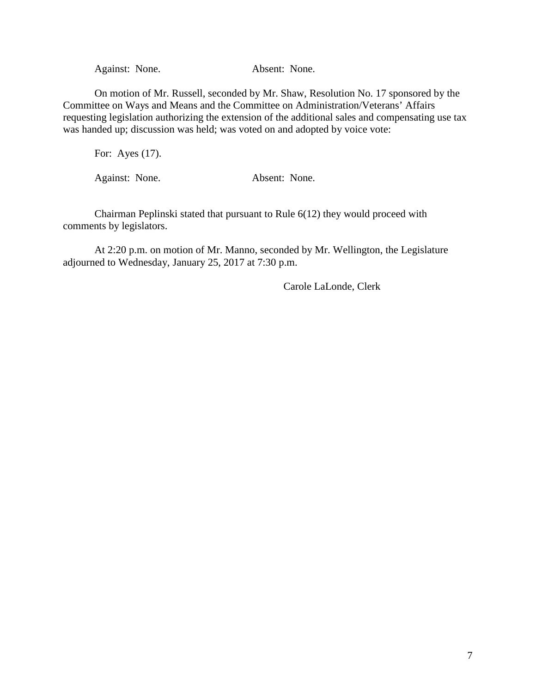Against: None. Absent: None.

On motion of Mr. Russell, seconded by Mr. Shaw, Resolution No. 17 sponsored by the Committee on Ways and Means and the Committee on Administration/Veterans' Affairs requesting legislation authorizing the extension of the additional sales and compensating use tax was handed up; discussion was held; was voted on and adopted by voice vote:

For: Ayes (17). Against: None. Absent: None.

Chairman Peplinski stated that pursuant to Rule 6(12) they would proceed with comments by legislators.

At 2:20 p.m. on motion of Mr. Manno, seconded by Mr. Wellington, the Legislature adjourned to Wednesday, January 25, 2017 at 7:30 p.m.

Carole LaLonde, Clerk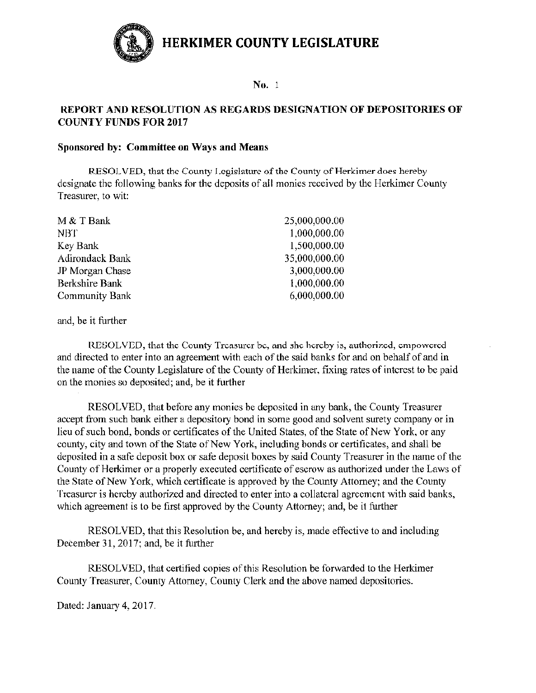

#### No. 1

# REPORT AND RESOLUTION AS REGARDS DESIGNATION OF DEPOSITORIES OF **COUNTY FUNDS FOR 2017**

#### Sponsored by: Committee on Ways and Means

RESOLVED, that the County Legislature of the County of Herkimer does hereby designate the following banks for the deposits of all monies received by the Herkimer County Treasurer, to wit:

| M & T Bank      | 25,000,000.00 |
|-----------------|---------------|
| <b>NBT</b>      | 1,000,000.00  |
| Key Bank        | 1,500,000.00  |
| Adirondack Bank | 35,000,000.00 |
| JP Morgan Chase | 3,000,000.00  |
| Berkshire Bank  | 1,000,000.00  |
| Community Bank  | 6,000,000.00  |

#### and, be it further

RESOLVED, that the County Treasurer be, and she hereby is, authorized, empowered and directed to enter into an agreement with each of the said banks for and on behalf of and in the name of the County Legislature of the County of Herkimer, fixing rates of interest to be paid on the monies so deposited; and, be it further

RESOLVED, that before any monies be deposited in any bank, the County Treasurer accept from such bank either a depository bond in some good and solvent surety company or in lieu of such bond, bonds or certificates of the United States, of the State of New York, or any county, city and town of the State of New York, including bonds or certificates, and shall be deposited in a safe deposit box or safe deposit boxes by said County Treasurer in the name of the County of Herkimer or a properly executed certificate of escrow as authorized under the Laws of the State of New York, which certificate is approved by the County Attorney; and the County Treasurer is hereby authorized and directed to enter into a collateral agreement with said banks, which agreement is to be first approved by the County Attorney; and, be it further

RESOLVED, that this Resolution be, and hereby is, made effective to and including December 31, 2017; and, be it further

RESOLVED, that certified copies of this Resolution be forwarded to the Herkimer County Treasurer, County Attorney, County Clerk and the above named depositories.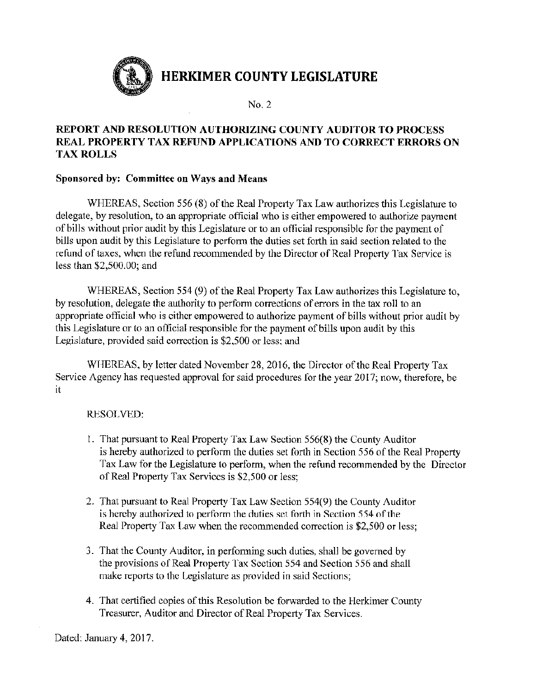

# REPORT AND RESOLUTION AUTHORIZING COUNTY AUDITOR TO PROCESS **REAL PROPERTY TAX REFUND APPLICATIONS AND TO CORRECT ERRORS ON TAX ROLLS**

# Sponsored by: Committee on Ways and Means

WHEREAS, Section 556 (8) of the Real Property Tax Law authorizes this Legislature to delegate, by resolution, to an appropriate official who is either empowered to authorize payment of bills without prior audit by this Legislature or to an official responsible for the payment of bills upon audit by this Legislature to perform the duties set forth in said section related to the refund of taxes, when the refund recommended by the Director of Real Property Tax Service is less than \$2,500.00; and

WHEREAS, Section 554 (9) of the Real Property Tax Law authorizes this Legislature to, by resolution, delegate the authority to perform corrections of errors in the tax roll to an appropriate official who is either empowered to authorize payment of bills without prior audit by this Legislature or to an official responsible for the payment of bills upon audit by this Legislature, provided said correction is \$2,500 or less; and

WHEREAS, by letter dated November 28, 2016, the Director of the Real Property Tax Service Agency has requested approval for said procedures for the year 2017; now, therefore, be it

# **RESOLVED:**

- 1. That pursuant to Real Property Tax Law Section 556(8) the County Auditor is hereby authorized to perform the duties set forth in Section 556 of the Real Property Tax Law for the Legislature to perform, when the refund recommended by the Director of Real Property Tax Services is \$2,500 or less;
- 2. That pursuant to Real Property Tax Law Section 554(9) the County Auditor is hereby authorized to perform the duties set forth in Section 554 of the Real Property Tax Law when the recommended correction is \$2,500 or less;
- 3. That the County Auditor, in performing such duties, shall be governed by the provisions of Real Property Tax Section 554 and Section 556 and shall make reports to the Legislature as provided in said Sections;
- 4. That certified copies of this Resolution be forwarded to the Herkimer County Treasurer, Auditor and Director of Real Property Tax Services.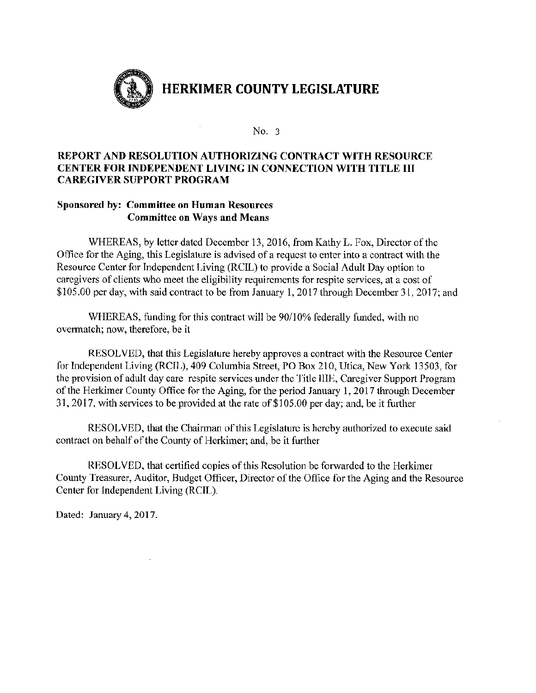

## REPORT AND RESOLUTION AUTHORIZING CONTRACT WITH RESOURCE **CENTER FOR INDEPENDENT LIVING IN CONNECTION WITH TITLE III CAREGIVER SUPPORT PROGRAM**

## **Sponsored by: Committee on Human Resources Committee on Ways and Means**

WHEREAS, by letter dated December 13, 2016, from Kathy L. Fox, Director of the Office for the Aging, this Legislature is advised of a request to enter into a contract with the Resource Center for Independent Living (RCIL) to provide a Social Adult Day option to caregivers of clients who meet the eligibility requirements for respite services, at a cost of \$105.00 per day, with said contract to be from January 1, 2017 through December 31, 2017; and

WHEREAS, funding for this contract will be 90/10% federally funded, with no overmatch; now, therefore, be it

RESOLVED, that this Legislature hereby approves a contract with the Resource Center for Independent Living (RCIL), 409 Columbia Street, PO Box 210, Utica, New York 13503, for the provision of adult day care respite services under the Title IIIE, Caregiver Support Program of the Herkimer County Office for the Aging, for the period January 1, 2017 through December 31, 2017, with services to be provided at the rate of \$105.00 per day; and, be it further

RESOLVED, that the Chairman of this Legislature is hereby authorized to execute said contract on behalf of the County of Herkimer; and, be it further

RESOLVED, that certified copies of this Resolution be forwarded to the Herkimer County Treasurer, Auditor, Budget Officer, Director of the Office for the Aging and the Resource Center for Independent Living (RCIL).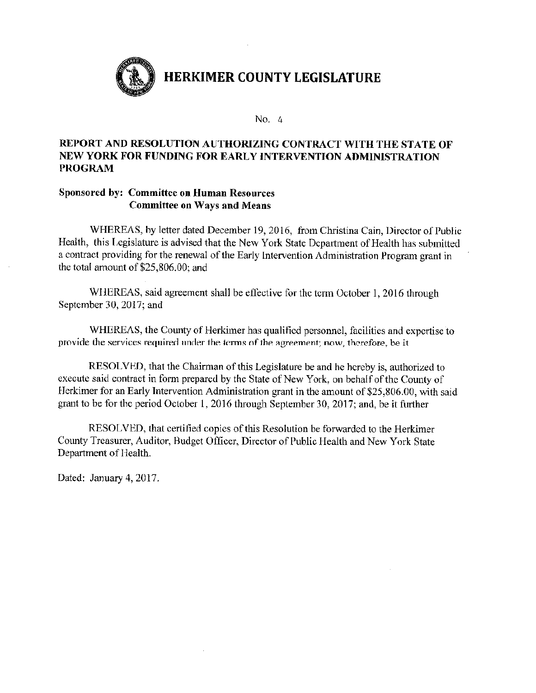

# REPORT AND RESOLUTION AUTHORIZING CONTRACT WITH THE STATE OF NEW YORK FOR FUNDING FOR EARLY INTERVENTION ADMINISTRATION **PROGRAM**

#### **Sponsored by: Committee on Human Resources Committee on Ways and Means**

WHEREAS, by letter dated December 19, 2016, from Christina Cain, Director of Public Health, this Legislature is advised that the New York State Department of Health has submitted a contract providing for the renewal of the Early Intervention Administration Program grant in the total amount of \$25,806,00; and

WHEREAS, said agreement shall be effective for the term October 1, 2016 through September 30, 2017; and

WHEREAS, the County of Herkimer has qualified personnel, facilities and expertise to provide the services required under the terms of the agreement; now, therefore, be it

RESOLVED, that the Chairman of this Legislature be and he hereby is, authorized to execute said contract in form prepared by the State of New York, on behalf of the County of Herkimer for an Early Intervention Administration grant in the amount of \$25,806.00, with said grant to be for the period October 1, 2016 through September 30, 2017; and, be it further

RESOLVED, that certified copies of this Resolution be forwarded to the Herkimer County Treasurer, Auditor, Budget Officer, Director of Public Health and New York State Department of Health.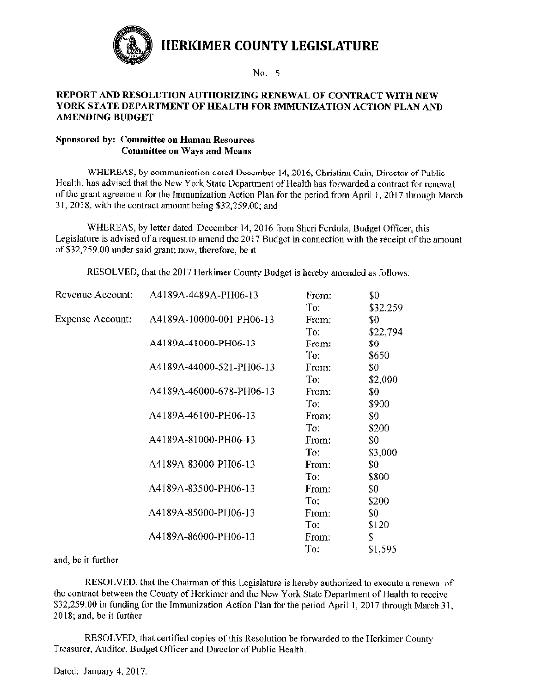

No. 5

#### REPORT AND RESOLUTION AUTHORIZING RENEWAL OF CONTRACT WITH NEW YORK STATE DEPARTMENT OF HEALTH FOR IMMUNIZATION ACTION PLAN AND **AMENDING BUDGET**

#### Sponsored by: Committee on Human Resources **Committee on Ways and Means**

WHEREAS, by communication dated December 14, 2016, Christina Cain, Director of Public Health, has advised that the New York State Department of Health has forwarded a contract for renewal of the grant agreement for the Immunization Action Plan for the period from April 1, 2017 through March 31, 2018, with the contract amount being \$32,259.00; and

WHEREAS, by letter dated December 14, 2016 from Sheri Ferdula, Budget Officer, this Legislature is advised of a request to amend the 2017 Budget in connection with the receipt of the amount of \$32,259.00 under said grant; now, therefore, be it

RESOLVED, that the 2017 Herkimer County Budget is hereby amended as follows:

| Revenue Account:        | A4189A-4489A-PH06-13     | From: | \$0      |
|-------------------------|--------------------------|-------|----------|
|                         |                          | To:   | \$32,259 |
| <b>Expense Account:</b> | A4189A-10000-001 PH06-13 | From: | \$0      |
|                         |                          | To:   | \$22,794 |
|                         | A4189A-41000-PH06-13     | From: | \$0      |
|                         |                          | To:   | \$650    |
|                         | A4189A-44000-521-PH06-13 | From: | \$0      |
|                         |                          | To:   | \$2,000  |
|                         | A4189A-46000-678-PH06-13 | From: | \$0      |
|                         |                          | To:   | \$900    |
|                         | A4189A-46100-PH06-13     | From: | \$0      |
|                         |                          | To:   | \$200    |
|                         | A4189A-81000-PH06-13     | From: | \$0      |
|                         |                          | To:   | \$3,000  |
|                         | A4189A-83000-PH06-13     | From: | \$0.     |
|                         |                          | To:   | \$800    |
|                         | A4189A-83500-PH06-13     | From: | \$0      |
|                         |                          | To:   | \$200    |
|                         | A4189A-85000-PH06-13     | From: | \$0      |
|                         |                          | To:   | \$120    |
|                         | A4189A-86000-PH06-13     | From: | \$       |
|                         |                          | To:   | \$1,595  |

and, bc it further

RESOLVED, that the Chairman of this Legislature is hereby authorized to execute a renewal of the contract between the County of Herkimer and the New York State Department of Health to receive \$32,259.00 in funding for the Immunization Action Plan for the period April 1, 2017 through March 31, 2018; and, be it further

RESOLVED, that certified copies of this Resolution be forwarded to the Herkimer County Treasurer, Auditor, Budget Officer and Director of Public Health.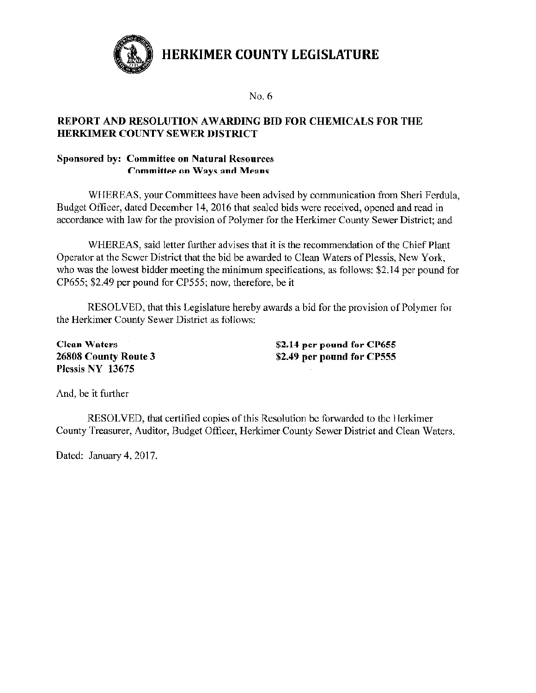No.  $6$ 

# **REPORT AND RESOLUTION AWARDING BID FOR CHEMICALS FOR THE HERKIMER COUNTY SEWER DISTRICT**

## **Sponsored by: Committee on Natural Resources Committee on Ways and Means**

WHEREAS, your Committees have been advised by communication from Sheri Ferdula. Budget Officer, dated December 14, 2016 that sealed bids were received, opened and read in accordance with law for the provision of Polymer for the Herkimer County Sewer District; and

WHEREAS, said letter further advises that it is the recommendation of the Chief Plant Operator at the Sewer District that the bid be awarded to Clean Waters of Plessis, New York, who was the lowest bidder meeting the minimum specifications, as follows: \$2.14 per pound for CP655; \$2.49 per pound for CP555; now, therefore, be it

RESOLVED, that this Legislature hereby awards a bid for the provision of Polymer for the Herkimer County Sewer District as follows:

**Clean Waters** 26808 County Route 3 Plessis NY 13675

\$2.14 per pound for CP655 \$2.49 per pound for CP555

And, be it further

RESOLVED, that certified copies of this Resolution be forwarded to the Herkimer County Treasurer, Auditor, Budget Officer, Herkimer County Sewer District and Clean Waters.

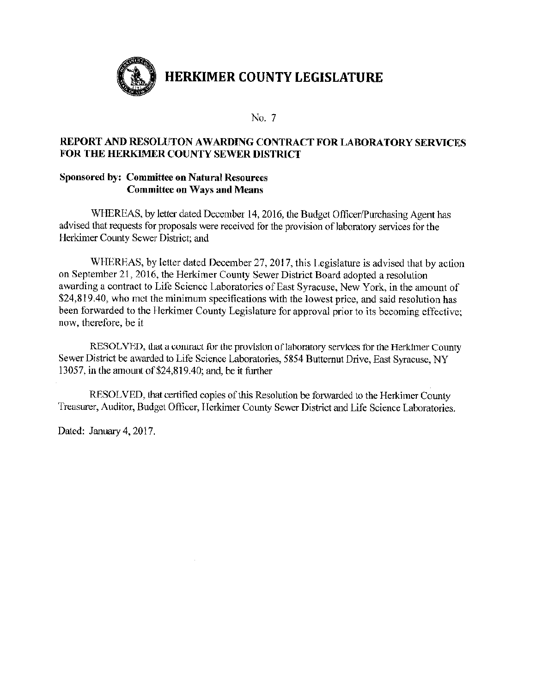

## REPORT AND RESOLUTON AWARDING CONTRACT FOR LABORATORY SERVICES FOR THE HERKIMER COUNTY SEWER DISTRICT

### **Sponsored by: Committee on Natural Resources Committee on Ways and Means**

WHEREAS, by letter dated December 14, 2016, the Budget Officer/Purchasing Agent has advised that requests for proposals were received for the provision of laboratory services for the Herkimer County Sewer District; and

WHEREAS, by letter dated December 27, 2017, this Legislature is advised that by action on September 21, 2016, the Herkimer County Sewer District Board adopted a resolution awarding a contract to Life Science Laboratories of East Syracuse, New York, in the amount of \$24,819.40, who met the minimum specifications with the lowest price, and said resolution has been forwarded to the Herkimer County Legislature for approval prior to its becoming effective; now, therefore, be it

RESOLVED, that a contract for the provision of laboratory services for the Herkimer County Sewer District be awarded to Life Science Laboratories, 5854 Butternut Drive, East Syracuse, NY 13057, in the amount of \$24,819.40; and, be it further

RESOLVED, that certified copies of this Resolution be forwarded to the Herkimer County Treasurer, Auditor, Budget Officer, Herkimer County Sewer District and Life Science Laboratories.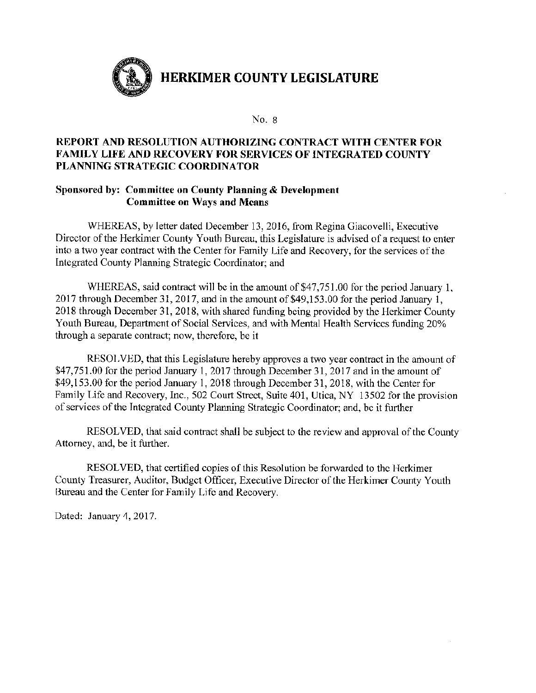

# REPORT AND RESOLUTION AUTHORIZING CONTRACT WITH CENTER FOR **FAMILY LIFE AND RECOVERY FOR SERVICES OF INTEGRATED COUNTY** PLANNING STRATEGIC COORDINATOR

### Sponsored by: Committee on County Planning & Development **Committee on Ways and Means**

WHEREAS, by letter dated December 13, 2016, from Regina Giacovelli, Executive Director of the Herkimer County Youth Bureau, this Legislature is advised of a request to enter into a two year contract with the Center for Family Life and Recovery, for the services of the Integrated County Planning Strategic Coordinator; and

WHEREAS, said contract will be in the amount of \$47,751.00 for the period January 1. 2017 through December 31, 2017, and in the amount of \$49,153.00 for the period January 1, 2018 through December 31, 2018, with shared funding being provided by the Herkimer County Youth Bureau, Department of Social Services, and with Mental Health Services funding 20% through a separate contract; now, therefore, be it

RESOLVED, that this Legislature hereby approves a two year contract in the amount of \$47,751.00 for the period January 1, 2017 through December 31, 2017 and in the amount of \$49,153.00 for the period January 1, 2018 through December 31, 2018, with the Center for Family Life and Recovery, Inc., 502 Court Street, Suite 401, Utica, NY 13502 for the provision of services of the Integrated County Planning Strategic Coordinator; and, be it further

RESOLVED, that said contract shall be subject to the review and approval of the County Attorney, and, be it further.

RESOLVED, that certified copies of this Resolution be forwarded to the Herkimer County Treasurer, Auditor, Budget Officer, Executive Director of the Herkimer County Youth Bureau and the Center for Family Life and Recovery.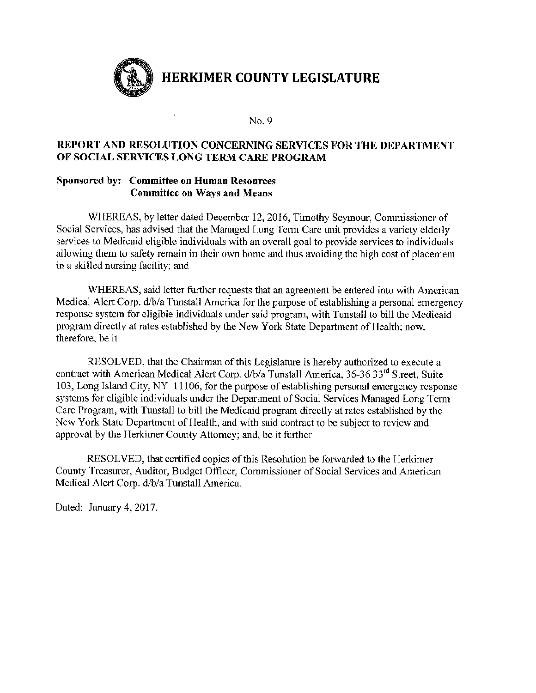

# REPORT AND RESOLUTION CONCERNING SERVICES FOR THE DEPARTMENT OF SOCIAL SERVICES LONG TERM CARE PROGRAM

## **Sponsored by: Committee on Human Resources Committee on Ways and Means**

WHEREAS, by letter dated December 12, 2016, Timothy Seymour, Commissioner of Social Services, has advised that the Managed Long Term Care unit provides a variety elderly services to Medicaid eligible individuals with an overall goal to provide services to individuals allowing them to safety remain in their own home and thus avoiding the high cost of placement in a skilled nursing facility; and

WHEREAS, said letter further requests that an agreement be entered into with American Medical Alert Corp. d/b/a Tunstall America for the purpose of establishing a personal emergency response system for eligible individuals under said program, with Tunstall to bill the Medicaid program directly at rates established by the New York State Department of Health; now, therefore, be it

RESOLVED, that the Chairman of this Legislature is hereby authorized to execute a contract with American Medical Alert Corp. d/b/a Tunstall America, 36-36 33<sup>rd</sup> Street, Suite 103, Long Island City, NY 11106, for the purpose of establishing personal emergency response systems for eligible individuals under the Department of Social Services Managed Long Term Care Program, with Tunstall to bill the Medicaid program directly at rates established by the New York State Department of Health, and with said contract to be subject to review and approval by the Herkimer County Attorney; and, be it further

RESOLVED, that certified copies of this Resolution be forwarded to the Herkimer County Treasurer, Auditor, Budget Officer, Commissioner of Social Services and American Medical Alert Corp. d/b/a Tunstall America.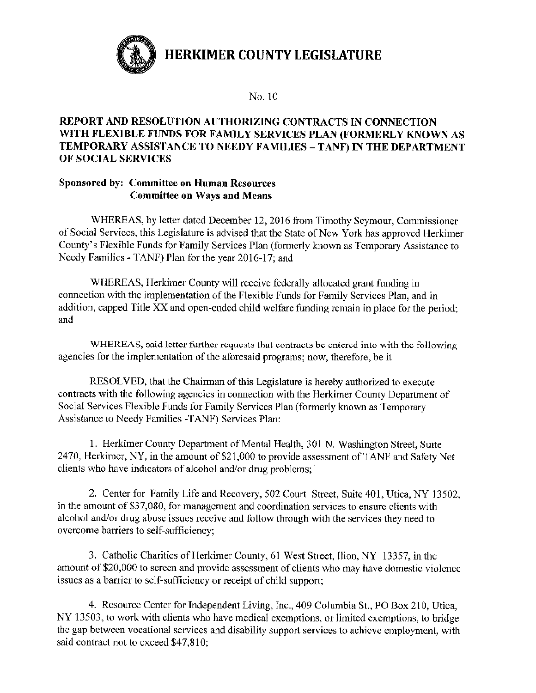

No. 10

# REPORT AND RESOLUTION AUTHORIZING CONTRACTS IN CONNECTION WITH FLEXIBLE FUNDS FOR FAMILY SERVICES PLAN (FORMERLY KNOWN AS TEMPORARY ASSISTANCE TO NEEDY FAMILIES - TANF) IN THE DEPARTMENT OF SOCIAL SERVICES

## **Sponsored by: Committee on Human Resources Committee on Ways and Means**

WHEREAS, by letter dated December 12, 2016 from Timothy Seymour, Commissioner of Social Services, this Legislature is advised that the State of New York has approved Herkimer County's Flexible Funds for Family Services Plan (formerly known as Temporary Assistance to Needy Families - TANF) Plan for the year 2016-17; and

WHEREAS, Herkimer County will receive federally allocated grant funding in connection with the implementation of the Flexible Funds for Family Services Plan, and in addition, capped Title XX and open-ended child welfare funding remain in place for the period; and

WHEREAS, said letter further requests that contracts be entered into with the following agencies for the implementation of the aforesaid programs; now, therefore, be it

RESOLVED, that the Chairman of this Legislature is hereby authorized to execute contracts with the following agencies in connection with the Herkimer County Department of Social Services Flexible Funds for Family Services Plan (formerly known as Temporary Assistance to Needy Families -TANF) Services Plan:

1. Herkimer County Department of Mental Health, 301 N. Washington Street, Suite 2470, Herkimer, NY, in the amount of \$21,000 to provide assessment of TANF and Safety Net clients who have indicators of alcohol and/or drug problems;

2. Center for Family Life and Recovery, 502 Court Street, Suite 401, Utica, NY 13502, in the amount of \$37,080, for management and coordination services to ensure clients with alcohol and/or drug abuse issues receive and follow through with the services they need to overcome barriers to self-sufficiency;

3. Catholic Charities of Herkimer County, 61 West Street, Ilion, NY 13357, in the amount of \$20,000 to screen and provide assessment of clients who may have domestic violence issues as a barrier to self-sufficiency or receipt of child support;

4. Resource Center for Independent Living, Inc., 409 Columbia St., PO Box 210, Utica, NY 13503, to work with clients who have medical exemptions, or limited exemptions, to bridge the gap between vocational services and disability support services to achieve employment, with said contract not to exceed \$47,810;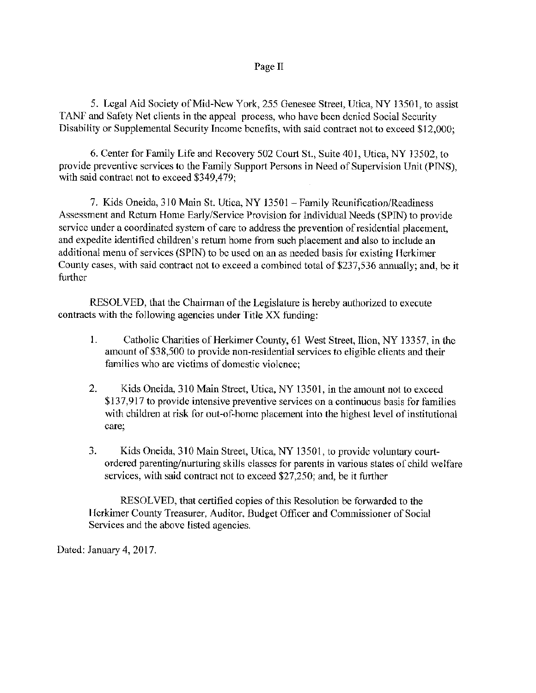#### Page II

5. Legal Aid Society of Mid-New York, 255 Genesee Street, Utica, NY 13501, to assist TANF and Safety Net clients in the appeal process, who have been denied Social Security Disability or Supplemental Security Income benefits, with said contract not to exceed \$12,000;

6. Center for Family Life and Recovery 502 Court St., Suite 401, Utica, NY 13502, to provide preventive services to the Family Support Persons in Need of Supervision Unit (PINS), with said contract not to exceed \$349,479;

7. Kids Oneida, 310 Main St. Utica, NY 13501 - Family Reunification/Readiness Assessment and Return Home Early/Service Provision for Individual Needs (SPIN) to provide service under a coordinated system of care to address the prevention of residential placement. and expedite identified children's return home from such placement and also to include an additional menu of services (SPIN) to be used on an as needed basis for existing Herkimer County cases, with said contract not to exceed a combined total of \$237,536 annually; and, be it further

RESOLVED, that the Chairman of the Legislature is hereby authorized to execute contracts with the following agencies under Title XX funding:

- $1_{-}$ Catholic Charities of Herkimer County, 61 West Street, Ilion, NY 13357, in the amount of \$38,500 to provide non-residential services to eligible clients and their families who are victims of domestic violence;
- 2. Kids Oneida, 310 Main Street, Utica, NY 13501, in the amount not to exceed \$137,917 to provide intensive preventive services on a continuous basis for families with children at risk for out-of-home placement into the highest level of institutional care;
- 3. Kids Oneida, 310 Main Street, Utica, NY 13501, to provide voluntary courtordered parenting/nurturing skills classes for parents in various states of child welfare services, with said contract not to exceed \$27,250; and, be it further

RESOLVED, that certified copies of this Resolution be forwarded to the Herkimer County Treasurer, Auditor, Budget Officer and Commissioner of Social Services and the above listed agencies.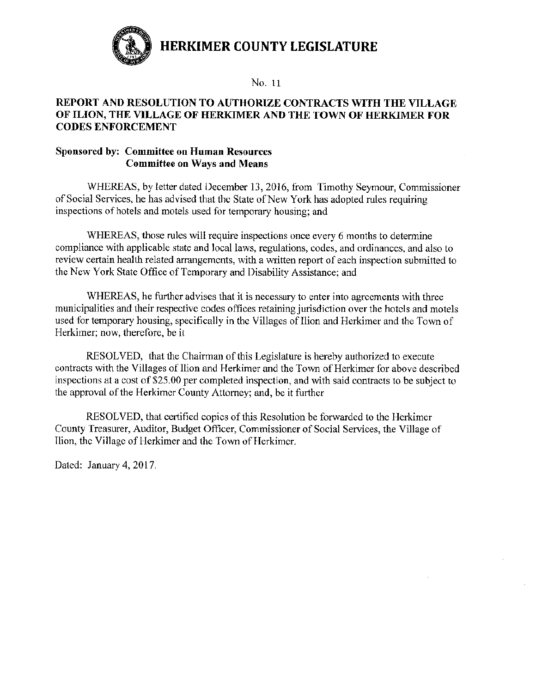

No. 11

# REPORT AND RESOLUTION TO AUTHORIZE CONTRACTS WITH THE VILLAGE OF ILION, THE VILLAGE OF HERKIMER AND THE TOWN OF HERKIMER FOR **CODES ENFORCEMENT**

# Sponsored by: Committee on Human Resources **Committee on Ways and Means**

WHEREAS, by letter dated December 13, 2016, from Timothy Seymour, Commissioner of Social Services, he has advised that the State of New York has adopted rules requiring inspections of hotels and motels used for temporary housing; and

WHEREAS, those rules will require inspections once every 6 months to determine compliance with applicable state and local laws, regulations, codes, and ordinances, and also to review certain health related arrangements, with a written report of each inspection submitted to the New York State Office of Temporary and Disability Assistance; and

WHEREAS, he further advises that it is necessary to enter into agreements with three municipalities and their respective codes offices retaining jurisdiction over the hotels and motels used for temporary housing, specifically in the Villages of Ilion and Herkimer and the Town of Herkimer; now, therefore, be it

RESOLVED, that the Chairman of this Legislature is hereby authorized to execute contracts with the Villages of Ilion and Herkimer and the Town of Herkimer for above described inspections at a cost of \$25.00 per completed inspection, and with said contracts to be subject to the approval of the Herkimer County Attorney; and, be it further

RESOLVED, that certified copics of this Resolution be forwarded to the Herkimer County Treasurer, Auditor, Budget Officer, Commissioner of Social Services, the Village of Ilion, the Village of Herkimer and the Town of Herkimer.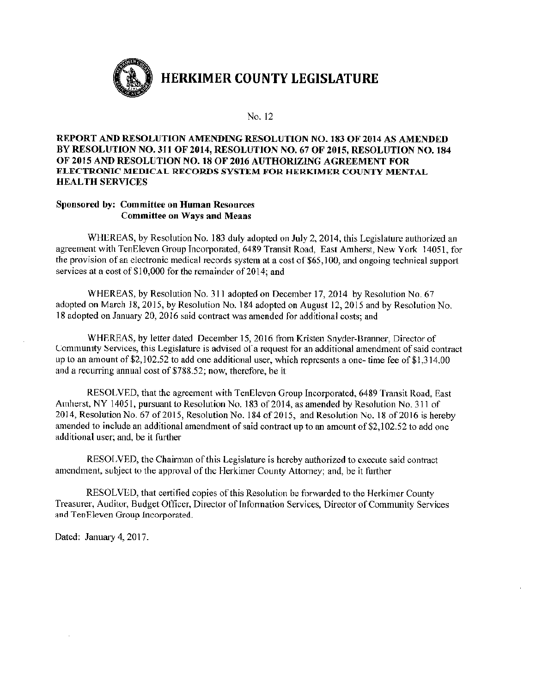

#### **REPORT AND RESOLUTION AMENDING RESOLUTION NO. 183 OF 2014 AS AMENDED** BY RESOLUTION NO. 311 OF 2014, RESOLUTION NO. 67 OF 2015, RESOLUTION NO. 184 OF 2015 AND RESOLUTION NO. 18 OF 2016 AUTHORIZING AGREEMENT FOR ELECTRONIC MEDICAL RECORDS SYSTEM FOR HERKIMER COUNTY MENTAL **HEALTH SERVICES**

#### Sponsored by: Committee on Human Resources **Committee on Ways and Means**

WHEREAS, by Resolution No. 183 duly adopted on July 2, 2014, this Legislature authorized an agreement with TenEleven Group Incorporated, 6489 Transit Road, East Amherst, New York 14051, for the provision of an electronic medical records system at a cost of \$65,100, and ongoing technical support services at a cost of \$10,000 for the remainder of 2014; and

WHEREAS, by Resolution No. 311 adopted on December 17, 2014 by Resolution No. 67 adopted on March 18, 2015, by Resolution No. 184 adopted on August 12, 2015 and by Resolution No. 18 adopted on January 20, 2016 said contract was amended for additional costs; and

WHEREAS, by letter dated December 15, 2016 from Kristen Snyder-Branner, Director of Community Services, this Legislature is advised of a request for an additional amendment of said contract up to an amount of \$2,102.52 to add one additional user, which represents a one- time fee of  $$1,314,00$ and a recurring annual cost of \$788.52; now, therefore, be it

RESOLVED, that the agreement with TenEleven Group Incorporated, 6489 Transit Road, East Amherst, NY 14051, pursuant to Resolution No. 183 of 2014, as amended by Resolution No. 311 of 2014, Resolution No. 67 of 2015, Resolution No. 184 of 2015, and Resolution No. 18 of 2016 is hereby amended to include an additional amendment of said contract up to an amount of \$2,102.52 to add one additional user; and, be it further

RESOLVED, the Chairman of this Legislature is hereby authorized to execute said contract amendment, subject to the approval of the Herkimer County Attorney; and, be it further

RESOLVED, that certified copies of this Resolution be forwarded to the Herkimer County Treasurer, Auditor, Budget Officer, Director of Information Services, Director of Community Services and TenEleven Group Incorporated.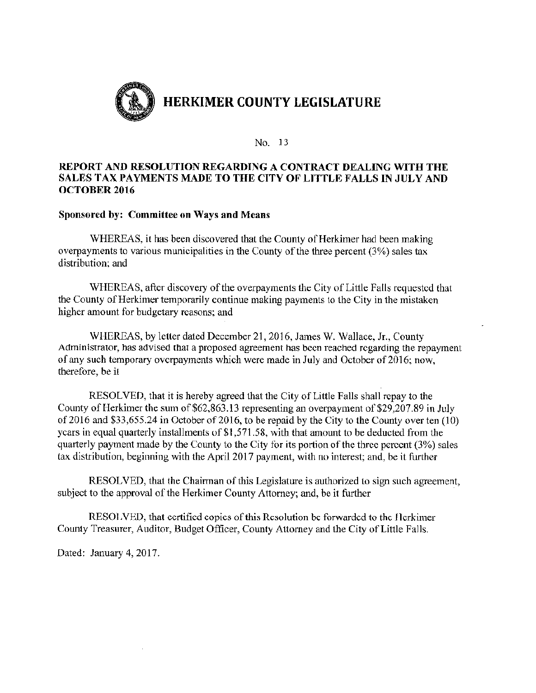

#### REPORT AND RESOLUTION REGARDING A CONTRACT DEALING WITH THE SALES TAX PAYMENTS MADE TO THE CITY OF LITTLE FALLS IN JULY AND **OCTOBER 2016**

#### Sponsored by: Committee on Ways and Means

WHEREAS, it has been discovered that the County of Herkimer had been making overpayments to various municipalities in the County of the three percent (3%) sales tax distribution; and

WHEREAS, after discovery of the overpayments the City of Little Falls requested that the County of Herkimer temporarily continue making payments to the City in the mistaken higher amount for budgetary reasons; and

WHEREAS, by letter dated December 21, 2016, James W. Wallace, Jr., County Administrator, has advised that a proposed agreement has been reached regarding the repayment of any such temporary overpayments which were made in July and October of 2016; now, therefore, be it

RESOLVED, that it is hereby agreed that the City of Little Falls shall repay to the County of Herkimer the sum of \$62,863.13 representing an overpayment of \$29,207.89 in July of 2016 and \$33,655.24 in October of 2016, to be repaid by the City to the County over ten  $(10)$ years in equal quarterly installments of \$1,571.58, with that amount to be deducted from the quarterly payment made by the County to the City for its portion of the three percent (3%) sales tax distribution, beginning with the April 2017 payment, with no interest; and, be it further

RESOLVED, that the Chairman of this Legislature is authorized to sign such agreement, subject to the approval of the Herkimer County Attorney; and, be it further

RESOLVED, that certified copies of this Resolution be forwarded to the Herkimer County Treasurer, Auditor, Budget Officer, County Attorney and the City of Little Falls.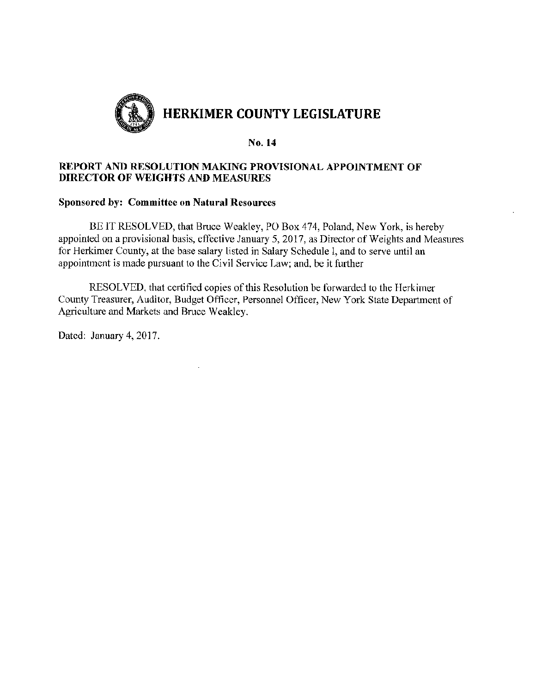

#### REPORT AND RESOLUTION MAKING PROVISIONAL APPOINTMENT OF **DIRECTOR OF WEIGHTS AND MEASURES**

#### **Sponsored by: Committee on Natural Resources**

BE IT RESOLVED, that Bruce Weakley, PO Box 474, Poland, New York, is hereby appointed on a provisional basis, effective January 5, 2017, as Director of Weights and Measures for Herkimer County, at the base salary listed in Salary Schedule I, and to serve until an appointment is made pursuant to the Civil Service Law; and, be it further

RESOLVED, that certified copies of this Resolution be forwarded to the Herkimer County Treasurer, Auditor, Budget Officer, Personnel Officer, New York State Department of Agriculture and Markets and Bruce Weakley.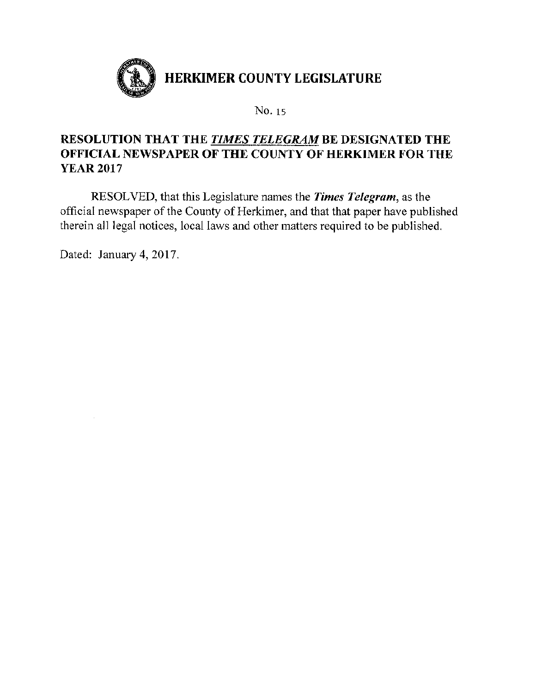

# RESOLUTION THAT THE TIMES TELEGRAM BE DESIGNATED THE OFFICIAL NEWSPAPER OF THE COUNTY OF HERKIMER FOR THE **YEAR 2017**

RESOLVED, that this Legislature names the Times Telegram, as the official newspaper of the County of Herkimer, and that that paper have published therein all legal notices, local laws and other matters required to be published.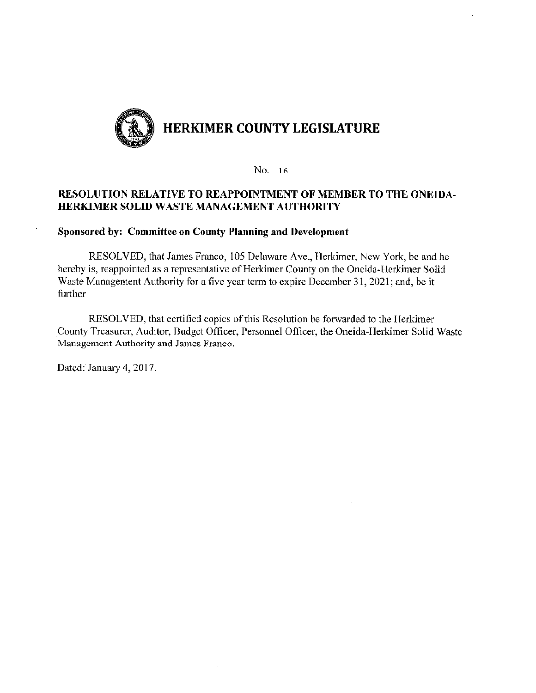

# **RESOLUTION RELATIVE TO REAPPOINTMENT OF MEMBER TO THE ONEIDA-**HERKIMER SOLID WASTE MANAGEMENT AUTHORITY

#### Sponsored by: Committee on County Planning and Development

RESOLVED, that James Franco, 105 Delaware Ave., Herkimer, New York, be and he hereby is, reappointed as a representative of Herkimer County on the Oneida-Herkimer Solid Waste Management Authority for a five year term to expire December 31, 2021; and, be it further

RESOLVED, that certified copies of this Resolution be forwarded to the Herkimer County Treasurer, Auditor, Budget Officer, Personnel Officer, the Oneida-Herkimer Solid Waste Management Authority and James Franco.

Dated: January 4, 2017.

÷,